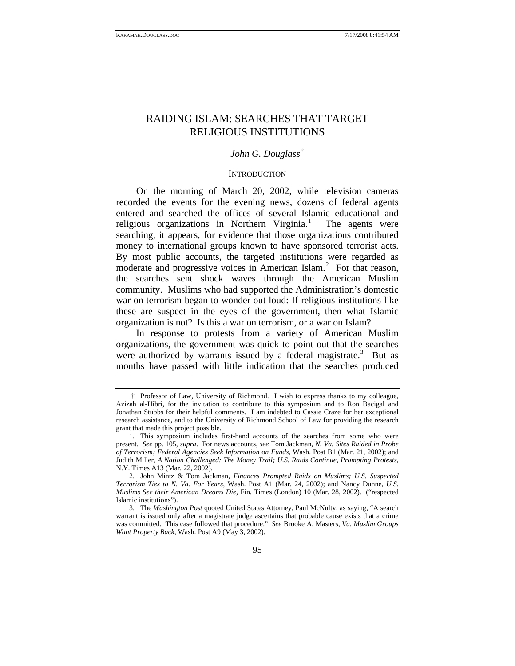# RAIDING ISLAM: SEARCHES THAT TARGET RELIGIOUS INSTITUTIONS

### *John G. Douglass*[†](#page-0-0)

#### **INTRODUCTION**

On the morning of March 20, 2002, while television cameras recorded the events for the evening news, dozens of federal agents entered and searched the offices of several Islamic educational and religious organizations in Northern Virginia.<sup>[1](#page-0-1)</sup> The agents were searching, it appears, for evidence that those organizations contributed money to international groups known to have sponsored terrorist acts. By most public accounts, the targeted institutions were regarded as moderate and progressive voices in American Islam.<sup>[2](#page-0-2)</sup> For that reason, the searches sent shock waves through the American Muslim community. Muslims who had supported the Administration's domestic war on terrorism began to wonder out loud: If religious institutions like these are suspect in the eyes of the government, then what Islamic organization is not? Is this a war on terrorism, or a war on Islam?

In response to protests from a variety of American Muslim organizations, the government was quick to point out that the searches were authorized by warrants issued by a federal magistrate.<sup>[3](#page-0-3)</sup> But as months have passed with little indication that the searches produced

<span id="page-0-0"></span><sup>†</sup> Professor of Law, University of Richmond. I wish to express thanks to my colleague, Azizah al-Hibri, for the invitation to contribute to this symposium and to Ron Bacigal and Jonathan Stubbs for their helpful comments. I am indebted to Cassie Craze for her exceptional research assistance, and to the University of Richmond School of Law for providing the research grant that made this project possible.

<span id="page-0-1"></span><sup>1.</sup> This symposium includes first-hand accounts of the searches from some who were present. *See* pp. 105, *supra*. For news accounts, *see* Tom Jackman, *N. Va. Sites Raided in Probe of Terrorism; Federal Agencies Seek Information on Funds*, Wash. Post B1 (Mar. 21, 2002); and Judith Miller, *A Nation Challenged: The Money Trail; U.S. Raids Continue, Prompting Protests*, N.Y. Times A13 (Mar. 22, 2002).

<span id="page-0-2"></span><sup>2.</sup> John Mintz & Tom Jackman, *Finances Prompted Raids on Muslims; U.S. Suspected Terrorism Ties to N. Va. For Years*, Wash. Post A1 (Mar. 24, 2002); and Nancy Dunne, *U.S. Muslims See their American Dreams Die*, Fin. Times (London) 10 (Mar. 28, 2002). ("respected Islamic institutions").

<span id="page-0-3"></span><sup>3.</sup> The *Washington Post* quoted United States Attorney, Paul McNulty, as saying, "A search warrant is issued only after a magistrate judge ascertains that probable cause exists that a crime was committed. This case followed that procedure." *See* Brooke A. Masters, *Va. Muslim Groups Want Property Back*, Wash. Post A9 (May 3, 2002).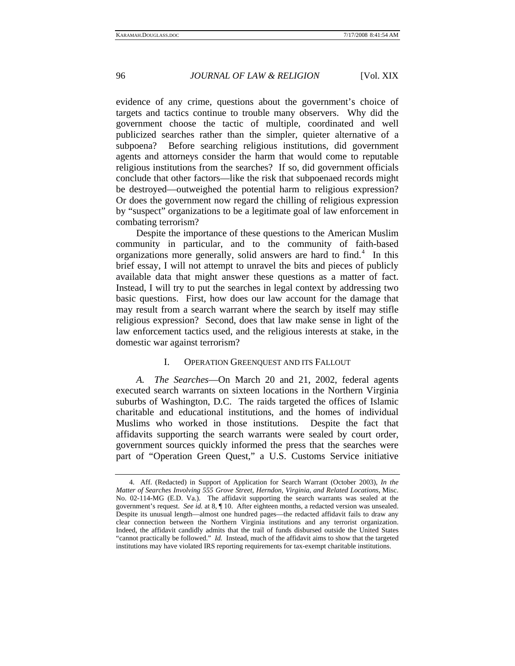evidence of any crime, questions about the government's choice of targets and tactics continue to trouble many observers. Why did the government choose the tactic of multiple, coordinated and well publicized searches rather than the simpler, quieter alternative of a subpoena? Before searching religious institutions, did government agents and attorneys consider the harm that would come to reputable religious institutions from the searches? If so, did government officials conclude that other factors—like the risk that subpoenaed records might be destroyed—outweighed the potential harm to religious expression? Or does the government now regard the chilling of religious expression by "suspect" organizations to be a legitimate goal of law enforcement in combating terrorism?

Despite the importance of these questions to the American Muslim community in particular, and to the community of faith-based organizations more generally, solid answers are hard to find.<sup>[4](#page-1-0)</sup> In this brief essay, I will not attempt to unravel the bits and pieces of publicly available data that might answer these questions as a matter of fact. Instead, I will try to put the searches in legal context by addressing two basic questions. First, how does our law account for the damage that may result from a search warrant where the search by itself may stifle religious expression? Second, does that law make sense in light of the law enforcement tactics used, and the religious interests at stake, in the domestic war against terrorism?

#### I. OPERATION GREENQUEST AND ITS FALLOUT

*A. The Searches*—On March 20 and 21, 2002, federal agents executed search warrants on sixteen locations in the Northern Virginia suburbs of Washington, D.C. The raids targeted the offices of Islamic charitable and educational institutions, and the homes of individual Muslims who worked in those institutions. Despite the fact that affidavits supporting the search warrants were sealed by court order, government sources quickly informed the press that the searches were part of "Operation Green Quest," a U.S. Customs Service initiative

<span id="page-1-0"></span><sup>4.</sup> Aff. (Redacted) in Support of Application for Search Warrant (October 2003), *In the Matter of Searches Involving 555 Grove Street, Herndon, Virginia, and Related Locations*, Misc. No. 02-114-MG (E.D. Va.). The affidavit supporting the search warrants was sealed at the government's request. *See id.* at 8, ¶ 10. After eighteen months, a redacted version was unsealed. Despite its unusual length—almost one hundred pages—the redacted affidavit fails to draw any clear connection between the Northern Virginia institutions and any terrorist organization. Indeed, the affidavit candidly admits that the trail of funds disbursed outside the United States "cannot practically be followed." *Id.* Instead, much of the affidavit aims to show that the targeted institutions may have violated IRS reporting requirements for tax-exempt charitable institutions.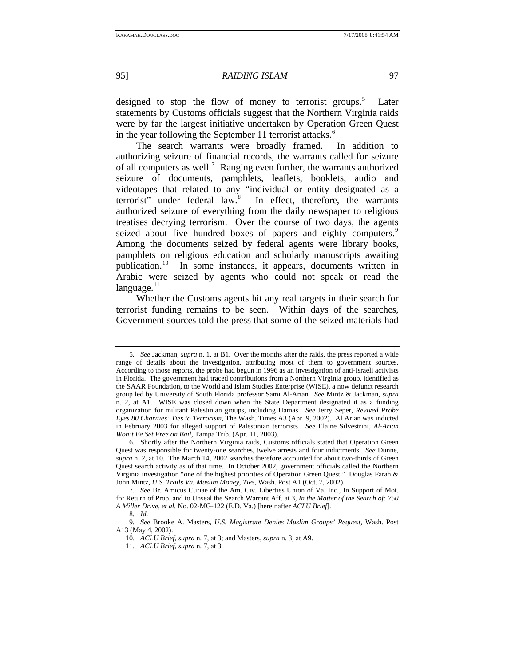designed to stop the flow of money to terrorist groups.<sup>[5](#page-2-0)</sup> Later statements by Customs officials suggest that the Northern Virginia raids were by far the largest initiative undertaken by Operation Green Quest in the year following the September 11 terrorist attacks.<sup>[6](#page-2-1)</sup>

The search warrants were broadly framed. In addition to authorizing seizure of financial records, the warrants called for seizure of all computers as well.<sup>[7](#page-2-2)</sup> Ranging even further, the warrants authorized seizure of documents, pamphlets, leaflets, booklets, audio and videotapes that related to any "individual or entity designated as a terrorist" under federal law.<sup>[8](#page-2-3)</sup> In effect, therefore, the warrants authorized seizure of everything from the daily newspaper to religious treatises decrying terrorism. Over the course of two days, the agents seized about five hundred boxes of papers and eighty computers.<sup>[9](#page-2-4)</sup> Among the documents seized by federal agents were library books, pamphlets on religious education and scholarly manuscripts awaiting publication.[10](#page-2-5) In some instances, it appears, documents written in Arabic were seized by agents who could not speak or read the  $language.<sup>11</sup>$  $language.<sup>11</sup>$  $language.<sup>11</sup>$ 

Whether the Customs agents hit any real targets in their search for terrorist funding remains to be seen. Within days of the searches, Government sources told the press that some of the seized materials had

<span id="page-2-0"></span><sup>5</sup>*. See* Jackman, *supra* n. 1, at B1. Over the months after the raids, the press reported a wide range of details about the investigation, attributing most of them to government sources. According to those reports, the probe had begun in 1996 as an investigation of anti-Israeli activists in Florida. The government had traced contributions from a Northern Virginia group, identified as the SAAR Foundation, to the World and Islam Studies Enterprise (WISE), a now defunct research group led by University of South Florida professor Sami Al-Arian. *See* Mintz & Jackman, *supra* n. 2, at A1. WISE was closed down when the State Department designated it as a funding organization for militant Palestinian groups, including Hamas. *See* Jerry Seper, *Revived Probe Eyes 80 Charities' Ties to Terrorism*, The Wash. Times A3 (Apr. 9, 2002). Al Arian was indicted in February 2003 for alleged support of Palestinian terrorists. *See* Elaine Silvestrini, *Al-Arian Won't Be Set Free on Bail*, Tampa Trib. (Apr. 11, 2003).

<span id="page-2-1"></span><sup>6.</sup> Shortly after the Northern Virginia raids, Customs officials stated that Operation Green Quest was responsible for twenty-one searches, twelve arrests and four indictments. *See* Dunne, *supra* n. 2, at 10. The March 14, 2002 searches therefore accounted for about two-thirds of Green Quest search activity as of that time. In October 2002, government officials called the Northern Virginia investigation "one of the highest priorities of Operation Green Quest." Douglas Farah & John Mintz, *U.S. Trails Va. Muslim Money, Ties*, Wash. Post A1 (Oct. 7, 2002).

<span id="page-2-2"></span><sup>7.</sup> *See* Br. Amicus Curiae of the Am. Civ. Liberties Union of Va. Inc., In Support of Mot. for Return of Prop. and to Unseal the Search Warrant Aff. at 3, *In the Matter of the Search of: 750 A Miller Drive, et al.* No. 02-MG-122 (E.D. Va.) [hereinafter *ACLU Brief*].

<sup>8</sup>*. Id*.

<span id="page-2-6"></span><span id="page-2-5"></span><span id="page-2-4"></span><span id="page-2-3"></span><sup>9</sup>*. See* Brooke A. Masters, *U.S. Magistrate Denies Muslim Groups' Request*, Wash. Post A13 (May 4, 2002).

<sup>10.</sup> *ACLU Brief*, *supra* n. 7, at 3; and Masters, *supra* n. 3, at A9.

<sup>11.</sup> *ACLU Brief*, *supra* n. 7, at 3.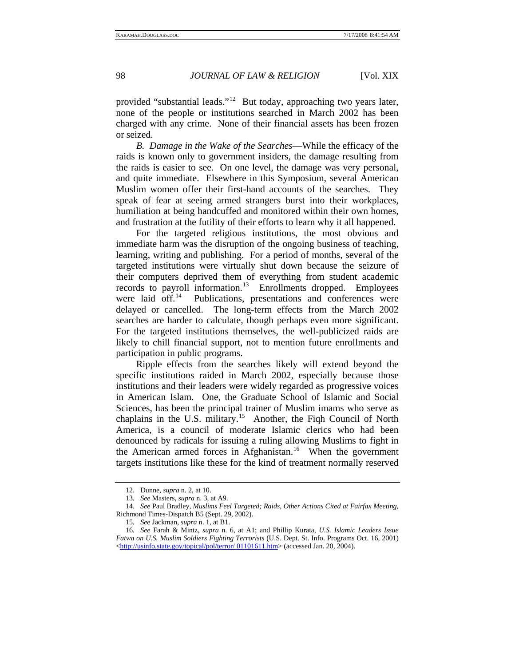provided "substantial leads."[12](#page-3-0) But today, approaching two years later, none of the people or institutions searched in March 2002 has been charged with any crime. None of their financial assets has been frozen or seized.

*B. Damage in the Wake of the Searches*—While the efficacy of the raids is known only to government insiders, the damage resulting from the raids is easier to see. On one level, the damage was very personal, and quite immediate. Elsewhere in this Symposium, several American Muslim women offer their first-hand accounts of the searches. They speak of fear at seeing armed strangers burst into their workplaces, humiliation at being handcuffed and monitored within their own homes, and frustration at the futility of their efforts to learn why it all happened.

For the targeted religious institutions, the most obvious and immediate harm was the disruption of the ongoing business of teaching, learning, writing and publishing. For a period of months, several of the targeted institutions were virtually shut down because the seizure of their computers deprived them of everything from student academic records to payroll information.<sup>[13](#page-3-1)</sup> Enrollments dropped. Employees were laid off.<sup>[14](#page-3-2)</sup> Publications, presentations and conferences were delayed or cancelled. The long-term effects from the March 2002 searches are harder to calculate, though perhaps even more significant. For the targeted institutions themselves, the well-publicized raids are likely to chill financial support, not to mention future enrollments and participation in public programs.

Ripple effects from the searches likely will extend beyond the specific institutions raided in March 2002, especially because those institutions and their leaders were widely regarded as progressive voices in American Islam. One, the Graduate School of Islamic and Social Sciences, has been the principal trainer of Muslim imams who serve as chaplains in the U.S. military.[15](#page-3-3) Another, the Fiqh Council of North America, is a council of moderate Islamic clerics who had been denounced by radicals for issuing a ruling allowing Muslims to fight in the American armed forces in Afghanistan.<sup>[16](#page-3-4)</sup> When the government targets institutions like these for the kind of treatment normally reserved

<sup>12.</sup> Dunne, *supra* n. 2, at 10.

<sup>13</sup>*. See* Masters, *supra* n. 3, at A9.

<span id="page-3-2"></span><span id="page-3-1"></span><span id="page-3-0"></span><sup>14.</sup> *See* Paul Bradley, *Muslims Feel Targeted; Raids, Other Actions Cited at Fairfax Meeting*, Richmond Times-Dispatch B5 (Sept. 29, 2002).

<sup>15</sup>*. See* Jackman, *supra* n. 1, at B1.

<span id="page-3-4"></span><span id="page-3-3"></span><sup>16</sup>*. See* Farah & Mintz, *supra* n. 6, at A1; and Phillip Kurata, *U.S. Islamic Leaders Issue Fatwa on U.S. Muslim Soldiers Fighting Terrorists* (U.S. Dept. St. Info. Programs Oct. 16, 2001) <[http://usinfo.state.gov/topical/pol/terror/ 01101611.htm>](http://usinfo.state.gov/topical/pol/terror/%2001101611.htm) (accessed Jan. 20, 2004).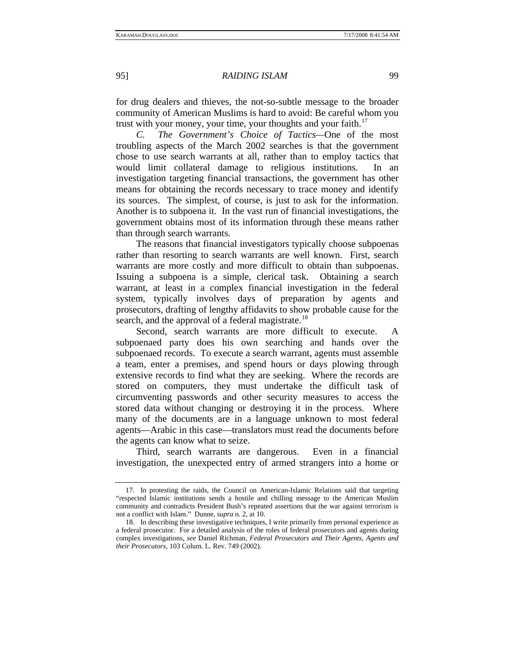for drug dealers and thieves, the not-so-subtle message to the broader community of American Muslims is hard to avoid: Be careful whom you trust with your money, your time, your thoughts and your faith.<sup>[17](#page-4-0)</sup>

*C. The Government's Choice of Tactics—*One of the most troubling aspects of the March 2002 searches is that the government chose to use search warrants at all, rather than to employ tactics that would limit collateral damage to religious institutions. In an investigation targeting financial transactions, the government has other means for obtaining the records necessary to trace money and identify its sources. The simplest, of course, is just to ask for the information. Another is to subpoena it. In the vast run of financial investigations, the government obtains most of its information through these means rather than through search warrants.

The reasons that financial investigators typically choose subpoenas rather than resorting to search warrants are well known. First, search warrants are more costly and more difficult to obtain than subpoenas. Issuing a subpoena is a simple, clerical task. Obtaining a search warrant, at least in a complex financial investigation in the federal system, typically involves days of preparation by agents and prosecutors, drafting of lengthy affidavits to show probable cause for the search, and the approval of a federal magistrate.<sup>[18](#page-4-1)</sup>

Second, search warrants are more difficult to execute. A subpoenaed party does his own searching and hands over the subpoenaed records. To execute a search warrant, agents must assemble a team, enter a premises, and spend hours or days plowing through extensive records to find what they are seeking. Where the records are stored on computers, they must undertake the difficult task of circumventing passwords and other security measures to access the stored data without changing or destroying it in the process. Where many of the documents are in a language unknown to most federal agents—Arabic in this case—translators must read the documents before the agents can know what to seize.

Third, search warrants are dangerous. Even in a financial investigation, the unexpected entry of armed strangers into a home or

<span id="page-4-0"></span><sup>17.</sup> In protesting the raids, the Council on American-Islamic Relations said that targeting "respected Islamic institutions sends a hostile and chilling message to the American Muslim community and contradicts President Bush's repeated assertions that the war against terrorism is not a conflict with Islam." Dunne, *supra* n. 2, at 10.

<span id="page-4-1"></span><sup>18.</sup> In describing these investigative techniques, I write primarily from personal experience as a federal prosecutor. For a detailed analysis of the roles of federal prosecutors and agents during complex investigations, *see* Daniel Richman, *Federal Prosecutors and Their Agents, Agents and their Prosecutors*, 103 Colum. L. Rev. 749 (2002).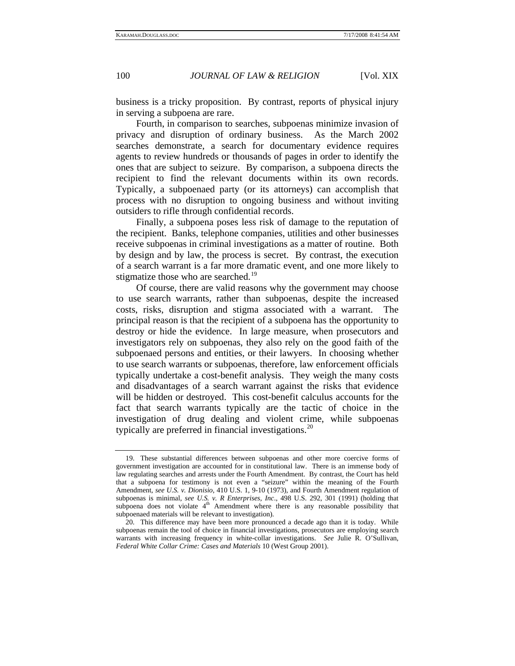business is a tricky proposition. By contrast, reports of physical injury in serving a subpoena are rare.

Fourth, in comparison to searches, subpoenas minimize invasion of privacy and disruption of ordinary business. As the March 2002 searches demonstrate, a search for documentary evidence requires agents to review hundreds or thousands of pages in order to identify the ones that are subject to seizure. By comparison, a subpoena directs the recipient to find the relevant documents within its own records. Typically, a subpoenaed party (or its attorneys) can accomplish that process with no disruption to ongoing business and without inviting outsiders to rifle through confidential records.

Finally, a subpoena poses less risk of damage to the reputation of the recipient. Banks, telephone companies, utilities and other businesses receive subpoenas in criminal investigations as a matter of routine. Both by design and by law, the process is secret. By contrast, the execution of a search warrant is a far more dramatic event, and one more likely to stigmatize those who are searched.<sup>[19](#page-5-0)</sup>

Of course, there are valid reasons why the government may choose to use search warrants, rather than subpoenas, despite the increased costs, risks, disruption and stigma associated with a warrant. The principal reason is that the recipient of a subpoena has the opportunity to destroy or hide the evidence. In large measure, when prosecutors and investigators rely on subpoenas, they also rely on the good faith of the subpoenaed persons and entities, or their lawyers. In choosing whether to use search warrants or subpoenas, therefore, law enforcement officials typically undertake a cost-benefit analysis. They weigh the many costs and disadvantages of a search warrant against the risks that evidence will be hidden or destroyed. This cost-benefit calculus accounts for the fact that search warrants typically are the tactic of choice in the investigation of drug dealing and violent crime, while subpoenas typically are preferred in financial investigations.<sup>[20](#page-5-1)</sup>

<span id="page-5-0"></span><sup>19.</sup> These substantial differences between subpoenas and other more coercive forms of government investigation are accounted for in constitutional law. There is an immense body of law regulating searches and arrests under the Fourth Amendment. By contrast, the Court has held that a subpoena for testimony is not even a "seizure" within the meaning of the Fourth Amendment, *see U.S. v. Dionisio*, 410 U.S. 1, 9-10 (1973), and Fourth Amendment regulation of subpoenas is minimal, *see U.S. v. R Enterprises, Inc.*, 498 U.S. 292, 301 (1991) (holding that subpoena does not violate 4<sup>th</sup> Amendment where there is any reasonable possibility that subpoenaed materials will be relevant to investigation).

<span id="page-5-1"></span><sup>20.</sup> This difference may have been more pronounced a decade ago than it is today. While subpoenas remain the tool of choice in financial investigations, prosecutors are employing search warrants with increasing frequency in white-collar investigations. *See* Julie R. O'Sullivan, *Federal White Collar Crime: Cases and Materials* 10 (West Group 2001).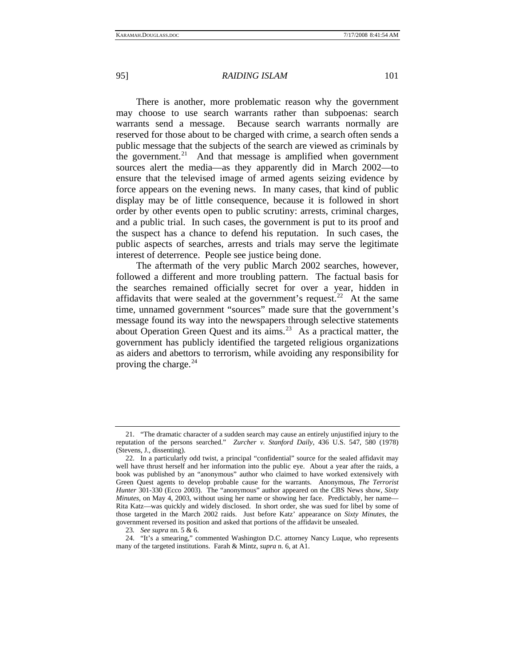There is another, more problematic reason why the government may choose to use search warrants rather than subpoenas: search warrants send a message. Because search warrants normally are reserved for those about to be charged with crime, a search often sends a public message that the subjects of the search are viewed as criminals by the government. $21$  And that message is amplified when government sources alert the media—as they apparently did in March 2002—to ensure that the televised image of armed agents seizing evidence by force appears on the evening news. In many cases, that kind of public display may be of little consequence, because it is followed in short order by other events open to public scrutiny: arrests, criminal charges, and a public trial. In such cases, the government is put to its proof and the suspect has a chance to defend his reputation. In such cases, the public aspects of searches, arrests and trials may serve the legitimate interest of deterrence. People see justice being done.

The aftermath of the very public March 2002 searches, however, followed a different and more troubling pattern. The factual basis for the searches remained officially secret for over a year, hidden in affidavits that were sealed at the government's request.<sup>[22](#page-6-1)</sup> At the same time, unnamed government "sources" made sure that the government's message found its way into the newspapers through selective statements about Operation Green Quest and its aims.<sup>[23](#page-6-2)</sup> As a practical matter, the government has publicly identified the targeted religious organizations as aiders and abettors to terrorism, while avoiding any responsibility for proving the charge. $24$ 

<span id="page-6-0"></span><sup>21. &</sup>quot;The dramatic character of a sudden search may cause an entirely unjustified injury to the reputation of the persons searched." *Zurcher v. Stanford Daily*, 436 U.S. 547, 580 (1978) (Stevens, J., dissenting).

<span id="page-6-1"></span><sup>22.</sup> In a particularly odd twist, a principal "confidential" source for the sealed affidavit may well have thrust herself and her information into the public eye. About a year after the raids, a book was published by an "anonymous" author who claimed to have worked extensively with Green Quest agents to develop probable cause for the warrants. Anonymous, *The Terrorist Hunter* 301-330 (Ecco 2003). The "anonymous" author appeared on the CBS News show, *Sixty Minutes*, on May 4, 2003, without using her name or showing her face. Predictably, her name— Rita Katz—was quickly and widely disclosed. In short order, she was sued for libel by some of those targeted in the March 2002 raids. Just before Katz' appearance on *Sixty Minutes*, the government reversed its position and asked that portions of the affidavit be unsealed.

<sup>23</sup>*. See supra* nn. 5 & 6.

<span id="page-6-3"></span><span id="page-6-2"></span><sup>24. &</sup>quot;It's a smearing," commented Washington D.C. attorney Nancy Luque, who represents many of the targeted institutions. Farah & Mintz, *supra* n. 6, at A1.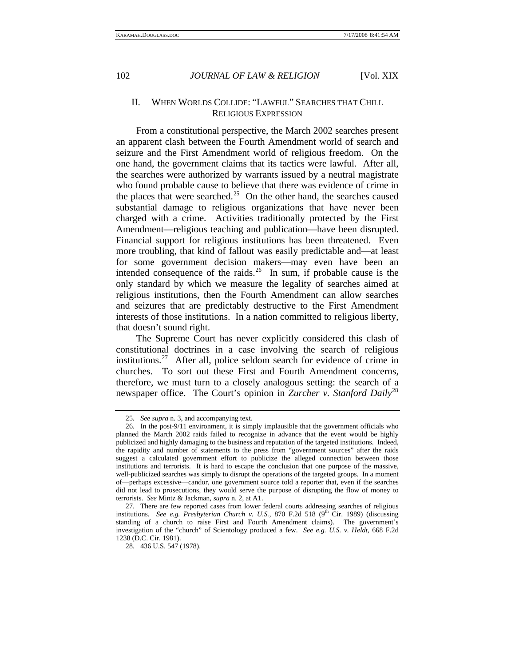### II. WHEN WORLDS COLLIDE: "LAWFUL" SEARCHES THAT CHILL RELIGIOUS EXPRESSION

From a constitutional perspective, the March 2002 searches present an apparent clash between the Fourth Amendment world of search and seizure and the First Amendment world of religious freedom. On the one hand, the government claims that its tactics were lawful. After all, the searches were authorized by warrants issued by a neutral magistrate who found probable cause to believe that there was evidence of crime in the places that were searched.<sup>[25](#page-7-0)</sup> On the other hand, the searches caused substantial damage to religious organizations that have never been charged with a crime. Activities traditionally protected by the First Amendment—religious teaching and publication—have been disrupted. Financial support for religious institutions has been threatened. Even more troubling, that kind of fallout was easily predictable and—at least for some government decision makers—may even have been an intended consequence of the raids.<sup>[26](#page-7-1)</sup> In sum, if probable cause is the only standard by which we measure the legality of searches aimed at religious institutions, then the Fourth Amendment can allow searches and seizures that are predictably destructive to the First Amendment interests of those institutions. In a nation committed to religious liberty, that doesn't sound right.

The Supreme Court has never explicitly considered this clash of constitutional doctrines in a case involving the search of religious institutions.<sup>[27](#page-7-2)</sup> After all, police seldom search for evidence of crime in churches. To sort out these First and Fourth Amendment concerns, therefore, we must turn to a closely analogous setting: the search of a newspaper office. The Court's opinion in *Zurcher v. Stanford Daily*[28](#page-7-3)

<sup>25</sup>*. See supra* n. 3, and accompanying text.

<span id="page-7-1"></span><span id="page-7-0"></span><sup>26.</sup> In the post-9/11 environment, it is simply implausible that the government officials who planned the March 2002 raids failed to recognize in advance that the event would be highly publicized and highly damaging to the business and reputation of the targeted institutions. Indeed, the rapidity and number of statements to the press from "government sources" after the raids suggest a calculated government effort to publicize the alleged connection between those institutions and terrorists. It is hard to escape the conclusion that one purpose of the massive, well-publicized searches was simply to disrupt the operations of the targeted groups. In a moment of—perhaps excessive—candor, one government source told a reporter that, even if the searches did not lead to prosecutions, they would serve the purpose of disrupting the flow of money to terrorists. *See* Mintz & Jackman, *supra* n. 2, at A1.

<span id="page-7-3"></span><span id="page-7-2"></span><sup>27.</sup> There are few reported cases from lower federal courts addressing searches of religious institutions. *See e.g. Presbyterian Church v. U.S.*, 870 F.2d 518 (9<sup>th</sup> Cir. 1989) (discussing standing of a church to raise First and Fourth Amendment claims). The government's investigation of the "church" of Scientology produced a few. *See e.g. U.S. v. Heldt,* 668 F.2d 1238 (D.C. Cir. 1981).

<sup>28. 436</sup> U.S. 547 (1978).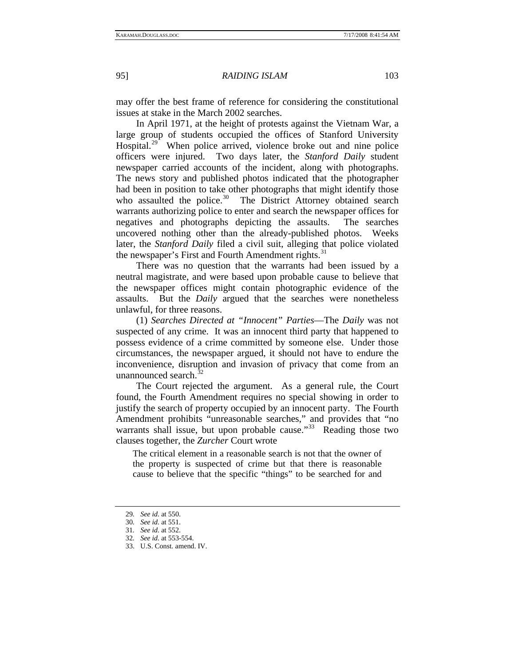may offer the best frame of reference for considering the constitutional issues at stake in the March 2002 searches.

In April 1971, at the height of protests against the Vietnam War, a large group of students occupied the offices of Stanford University Hospital.<sup>[29](#page-8-0)</sup> When police arrived, violence broke out and nine police officers were injured. Two days later, the *Stanford Daily* student newspaper carried accounts of the incident, along with photographs. The news story and published photos indicated that the photographer had been in position to take other photographs that might identify those who assaulted the police.<sup>[30](#page-8-1)</sup> The District Attorney obtained search warrants authorizing police to enter and search the newspaper offices for negatives and photographs depicting the assaults. The searches uncovered nothing other than the already-published photos. Weeks later, the *Stanford Daily* filed a civil suit, alleging that police violated the newspaper's First and Fourth Amendment rights.<sup>[31](#page-8-2)</sup>

There was no question that the warrants had been issued by a neutral magistrate, and were based upon probable cause to believe that the newspaper offices might contain photographic evidence of the assaults. But the *Daily* argued that the searches were nonetheless unlawful, for three reasons.

(1) *Searches Directed at "Innocent" Parties*—The *Daily* was not suspected of any crime. It was an innocent third party that happened to possess evidence of a crime committed by someone else. Under those circumstances, the newspaper argued, it should not have to endure the inconvenience, disruption and invasion of privacy that come from an unannounced search. $\frac{3}{2}$ 

The Court rejected the argument. As a general rule, the Court found, the Fourth Amendment requires no special showing in order to justify the search of property occupied by an innocent party. The Fourth Amendment prohibits "unreasonable searches," and provides that "no warrants shall issue, but upon probable cause."<sup>[33](#page-8-4)</sup> Reading those two clauses together, the *Zurcher* Court wrote

The critical element in a reasonable search is not that the owner of the property is suspected of crime but that there is reasonable cause to believe that the specific "things" to be searched for and

<sup>29</sup>*. See id*. at 550.

<span id="page-8-0"></span><sup>30</sup>*. See id*. at 551.

<span id="page-8-4"></span><span id="page-8-3"></span><span id="page-8-2"></span><span id="page-8-1"></span><sup>31</sup>*. See id*. at 552. 32*. See id*. at 553-554.

<sup>33.</sup> U.S. Const. amend. IV.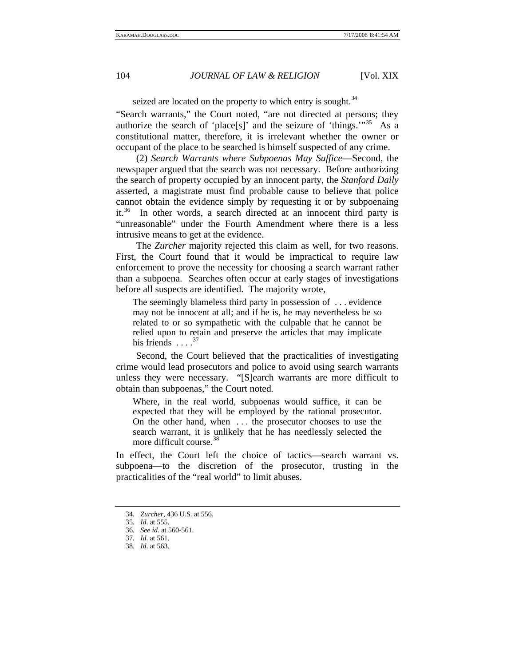seized are located on the property to which entry is sought.<sup>[34](#page-9-0)</sup>

"Search warrants," the Court noted, "are not directed at persons; they authorize the search of 'place[s]' and the seizure of 'things.'"[35](#page-9-1) As a constitutional matter, therefore, it is irrelevant whether the owner or occupant of the place to be searched is himself suspected of any crime.

(2) *Search Warrants where Subpoenas May Suffice*—Second, the newspaper argued that the search was not necessary. Before authorizing the search of property occupied by an innocent party, the *Stanford Daily*  asserted, a magistrate must find probable cause to believe that police cannot obtain the evidence simply by requesting it or by subpoenaing it.<sup>[36](#page-9-2)</sup> In other words, a search directed at an innocent third party is "unreasonable" under the Fourth Amendment where there is a less intrusive means to get at the evidence.

The *Zurcher* majority rejected this claim as well, for two reasons. First, the Court found that it would be impractical to require law enforcement to prove the necessity for choosing a search warrant rather than a subpoena. Searches often occur at early stages of investigations before all suspects are identified. The majority wrote,

The seemingly blameless third party in possession of . . . evidence may not be innocent at all; and if he is, he may nevertheless be so related to or so sympathetic with the culpable that he cannot be relied upon to retain and preserve the articles that may implicate his friends  $\ldots$ <sup>[37](#page-9-3)</sup>

Second, the Court believed that the practicalities of investigating crime would lead prosecutors and police to avoid using search warrants unless they were necessary. "[S]earch warrants are more difficult to obtain than subpoenas," the Court noted.

Where, in the real world, subpoenas would suffice, it can be expected that they will be employed by the rational prosecutor. On the other hand, when . . . the prosecutor chooses to use the search warrant, it is unlikely that he has needlessly selected the more difficult course.<sup>[38](#page-9-4)</sup>

In effect, the Court left the choice of tactics—search warrant vs. subpoena—to the discretion of the prosecutor, trusting in the practicalities of the "real world" to limit abuses.

<span id="page-9-0"></span><sup>34</sup>*. Zurcher*, 436 U.S. at 556.

<span id="page-9-1"></span><sup>35</sup>*. Id*. at 555.

<span id="page-9-2"></span><sup>36</sup>*. See id*. at 560-561.

<span id="page-9-3"></span><sup>37</sup>*. Id*. at 561.

<span id="page-9-4"></span><sup>38</sup>*. Id*. at 563.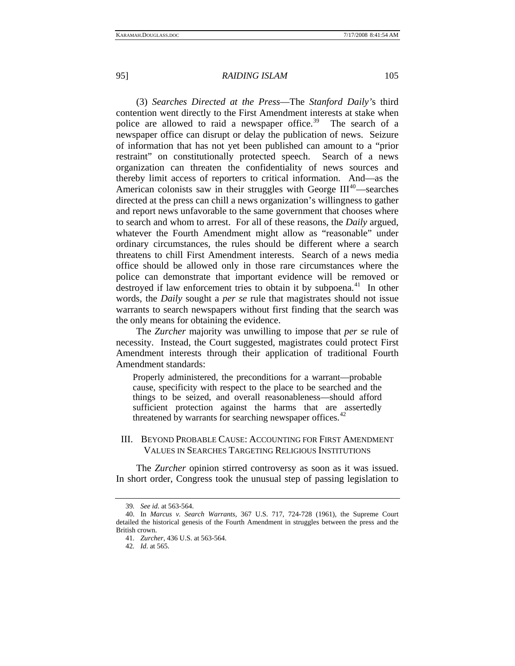(3) *Searches Directed at the Press*—The *Stanford Daily'*s third contention went directly to the First Amendment interests at stake when police are allowed to raid a newspaper office.<sup>[39](#page-10-0)</sup> The search of a newspaper office can disrupt or delay the publication of news. Seizure of information that has not yet been published can amount to a "prior restraint" on constitutionally protected speech. Search of a news organization can threaten the confidentiality of news sources and thereby limit access of reporters to critical information. And—as the American colonists saw in their struggles with George  $III^{40}$  $III^{40}$  $III^{40}$ —searches directed at the press can chill a news organization's willingness to gather and report news unfavorable to the same government that chooses where to search and whom to arrest. For all of these reasons, the *Daily* argued, whatever the Fourth Amendment might allow as "reasonable" under ordinary circumstances, the rules should be different where a search threatens to chill First Amendment interests. Search of a news media office should be allowed only in those rare circumstances where the police can demonstrate that important evidence will be removed or destroyed if law enforcement tries to obtain it by subpoena.<sup>[41](#page-10-2)</sup> In other words, the *Daily* sought a *per se* rule that magistrates should not issue warrants to search newspapers without first finding that the search was the only means for obtaining the evidence.

The *Zurcher* majority was unwilling to impose that *per se* rule of necessity. Instead, the Court suggested, magistrates could protect First Amendment interests through their application of traditional Fourth Amendment standards:

Properly administered, the preconditions for a warrant—probable cause, specificity with respect to the place to be searched and the things to be seized, and overall reasonableness—should afford sufficient protection against the harms that are assertedly threatened by warrants for searching newspaper offices.<sup>[42](#page-10-3)</sup>

#### III. BEYOND PROBABLE CAUSE: ACCOUNTING FOR FIRST AMENDMENT VALUES IN SEARCHES TARGETING RELIGIOUS INSTITUTIONS

The *Zurcher* opinion stirred controversy as soon as it was issued. In short order, Congress took the unusual step of passing legislation to

<sup>39</sup>*. See id*. at 563-564.

<span id="page-10-3"></span><span id="page-10-2"></span><span id="page-10-1"></span><span id="page-10-0"></span><sup>40.</sup> In *Marcus v. Search Warrants*, 367 U.S. 717, 724-728 (1961), the Supreme Court detailed the historical genesis of the Fourth Amendment in struggles between the press and the British crown.

<sup>41</sup>*. Zurcher,* 436 U.S. at 563-564.

<sup>42</sup>*. Id*. at 565.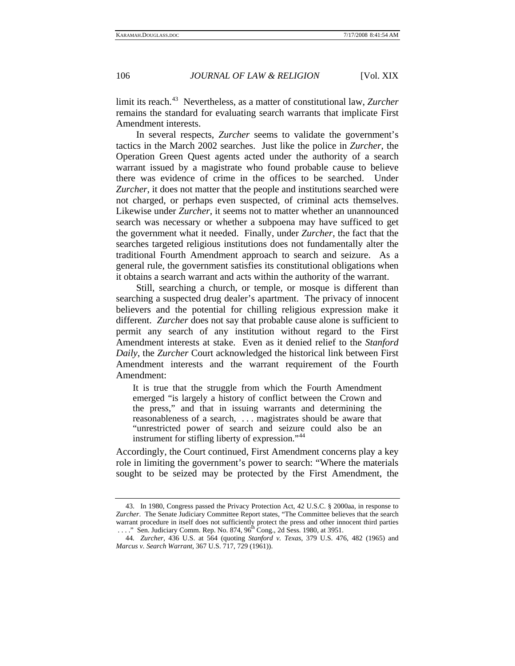limit its reach.<sup>[43](#page-11-0)</sup> Nevertheless, as a matter of constitutional law, *Zurcher* remains the standard for evaluating search warrants that implicate First Amendment interests.

In several respects, *Zurcher* seems to validate the government's tactics in the March 2002 searches. Just like the police in *Zurcher*, the Operation Green Quest agents acted under the authority of a search warrant issued by a magistrate who found probable cause to believe there was evidence of crime in the offices to be searched. Under *Zurcher*, it does not matter that the people and institutions searched were not charged, or perhaps even suspected, of criminal acts themselves. Likewise under *Zurcher*, it seems not to matter whether an unannounced search was necessary or whether a subpoena may have sufficed to get the government what it needed. Finally, under *Zurcher*, the fact that the searches targeted religious institutions does not fundamentally alter the traditional Fourth Amendment approach to search and seizure. As a general rule, the government satisfies its constitutional obligations when it obtains a search warrant and acts within the authority of the warrant.

Still, searching a church, or temple, or mosque is different than searching a suspected drug dealer's apartment. The privacy of innocent believers and the potential for chilling religious expression make it different. *Zurcher* does not say that probable cause alone is sufficient to permit any search of any institution without regard to the First Amendment interests at stake. Even as it denied relief to the *Stanford Daily*, the *Zurcher* Court acknowledged the historical link between First Amendment interests and the warrant requirement of the Fourth Amendment:

It is true that the struggle from which the Fourth Amendment emerged "is largely a history of conflict between the Crown and the press," and that in issuing warrants and determining the reasonableness of a search, . . . magistrates should be aware that "unrestricted power of search and seizure could also be an instrument for stifling liberty of expression."<sup>[44](#page-11-1)</sup>

Accordingly, the Court continued, First Amendment concerns play a key role in limiting the government's power to search: "Where the materials sought to be seized may be protected by the First Amendment, the

<span id="page-11-0"></span><sup>43.</sup> In 1980, Congress passed the Privacy Protection Act, 42 U.S.C. § 2000aa, in response to *Zurcher*. The Senate Judiciary Committee Report states, "The Committee believes that the search warrant procedure in itself does not sufficiently protect the press and other innocent third parties ...." Sen. Judiciary Comm. Rep. No. 874, 96<sup>th</sup> Cong., 2d Sess. 1980, at 3951.

<span id="page-11-1"></span><sup>44</sup>*. Zurcher*, 436 U.S. at 564 (quoting *Stanford v. Texas*, 379 U.S. 476, 482 (1965) and *Marcus v. Search Warrant*, 367 U.S. 717, 729 (1961)).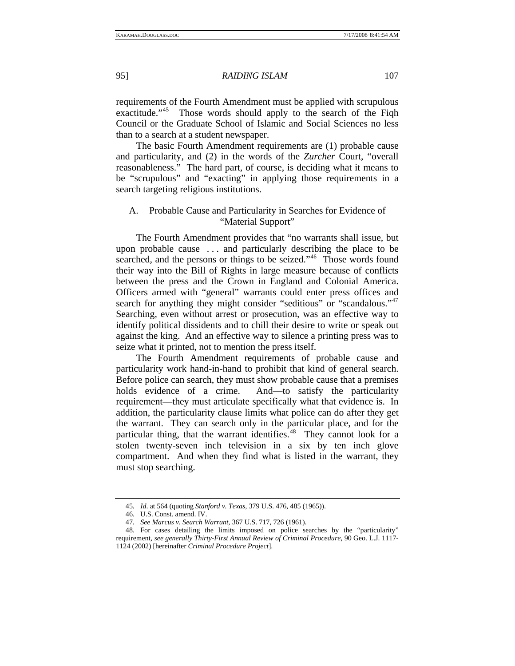requirements of the Fourth Amendment must be applied with scrupulous exactitude."<sup>[45](#page-12-0)</sup> Those words should apply to the search of the Fiqh Council or the Graduate School of Islamic and Social Sciences no less than to a search at a student newspaper.

The basic Fourth Amendment requirements are (1) probable cause and particularity, and (2) in the words of the *Zurcher* Court, "overall reasonableness." The hard part, of course, is deciding what it means to be "scrupulous" and "exacting" in applying those requirements in a search targeting religious institutions.

## A. Probable Cause and Particularity in Searches for Evidence of "Material Support"

The Fourth Amendment provides that "no warrants shall issue, but upon probable cause . . . and particularly describing the place to be searched, and the persons or things to be seized."<sup>[46](#page-12-1)</sup> Those words found their way into the Bill of Rights in large measure because of conflicts between the press and the Crown in England and Colonial America. Officers armed with "general" warrants could enter press offices and search for anything they might consider "seditious" or "scandalous."<sup>[47](#page-12-2)</sup> Searching, even without arrest or prosecution, was an effective way to identify political dissidents and to chill their desire to write or speak out against the king. And an effective way to silence a printing press was to seize what it printed, not to mention the press itself.

The Fourth Amendment requirements of probable cause and particularity work hand-in-hand to prohibit that kind of general search. Before police can search, they must show probable cause that a premises holds evidence of a crime. And—to satisfy the particularity requirement—they must articulate specifically what that evidence is. In addition, the particularity clause limits what police can do after they get the warrant. They can search only in the particular place, and for the particular thing, that the warrant identifies.<sup>[48](#page-12-3)</sup> They cannot look for a stolen twenty-seven inch television in a six by ten inch glove compartment. And when they find what is listed in the warrant, they must stop searching.

<sup>45</sup>*. Id*. at 564 (quoting *Stanford v. Texas*, 379 U.S. 476, 485 (1965)).

<sup>46.</sup> U.S. Const. amend. IV.

<sup>47</sup>*. See Marcus v. Search Warrant*, 367 U.S. 717, 726 (1961).

<span id="page-12-3"></span><span id="page-12-2"></span><span id="page-12-1"></span><span id="page-12-0"></span><sup>48.</sup> For cases detailing the limits imposed on police searches by the "particularity" requirement, *see generally Thirty-First Annual Review of Criminal Procedure*, 90 Geo. L.J. 1117- 1124 (2002) [hereinafter *Criminal Procedure Project*].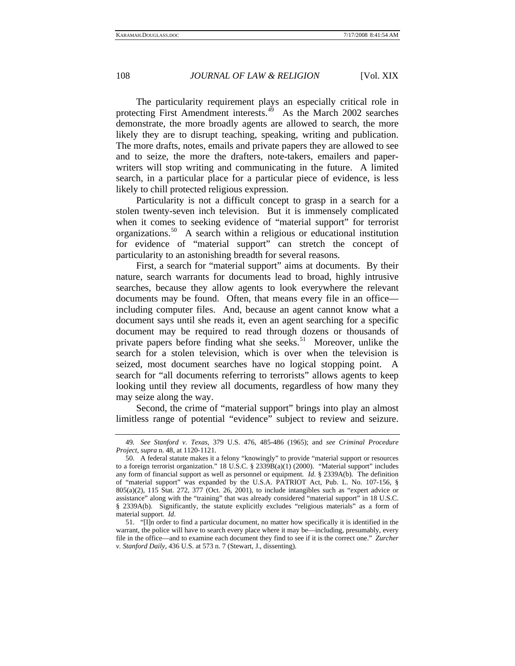The particularity requirement plays an especially critical role in protecting First Amendment interests.<sup>[49](#page-13-0)</sup> As the March 2002 searches demonstrate, the more broadly agents are allowed to search, the more likely they are to disrupt teaching, speaking, writing and publication. The more drafts, notes, emails and private papers they are allowed to see and to seize, the more the drafters, note-takers, emailers and paperwriters will stop writing and communicating in the future. A limited search, in a particular place for a particular piece of evidence, is less likely to chill protected religious expression.

Particularity is not a difficult concept to grasp in a search for a stolen twenty-seven inch television. But it is immensely complicated when it comes to seeking evidence of "material support" for terrorist organizations.<sup>[50](#page-13-1)</sup> A search within a religious or educational institution for evidence of "material support" can stretch the concept of particularity to an astonishing breadth for several reasons.

First, a search for "material support" aims at documents. By their nature, search warrants for documents lead to broad, highly intrusive searches, because they allow agents to look everywhere the relevant documents may be found. Often, that means every file in an office including computer files. And, because an agent cannot know what a document says until she reads it, even an agent searching for a specific document may be required to read through dozens or thousands of private papers before finding what she seeks.<sup>[51](#page-13-2)</sup> Moreover, unlike the search for a stolen television, which is over when the television is seized, most document searches have no logical stopping point. A search for "all documents referring to terrorists" allows agents to keep looking until they review all documents, regardless of how many they may seize along the way.

Second, the crime of "material support" brings into play an almost limitless range of potential "evidence" subject to review and seizure.

<span id="page-13-0"></span><sup>49</sup>*. See Stanford v. Texas*, 379 U.S. 476, 485-486 (1965); and *see Criminal Procedure Project*, *supra* n. 48, at 1120-1121.

<span id="page-13-1"></span><sup>50.</sup> A federal statute makes it a felony "knowingly" to provide "material support or resources to a foreign terrorist organization." 18 U.S.C. § 2339B(a)(1) (2000). "Material support" includes any form of financial support as well as personnel or equipment. *Id*. § 2339A(b). The definition of "material support" was expanded by the U.S.A. PATRIOT Act, Pub. L. No. 107-156, § 805(a)(2), 115 Stat. 272, 377 (Oct. 26, 2001), to include intangibles such as "expert advice or assistance" along with the "training" that was already considered "material support" in 18 U.S.C. § 2339A(b). Significantly, the statute explicitly excludes "religious materials" as a form of material support. *Id*.

<span id="page-13-2"></span><sup>51. &</sup>quot;[I]n order to find a particular document, no matter how specifically it is identified in the warrant, the police will have to search every place where it may be—including, presumably, every file in the office—and to examine each document they find to see if it is the correct one." *Zurcher v. Stanford Daily*, 436 U.S. at 573 n. 7 (Stewart, J., dissenting).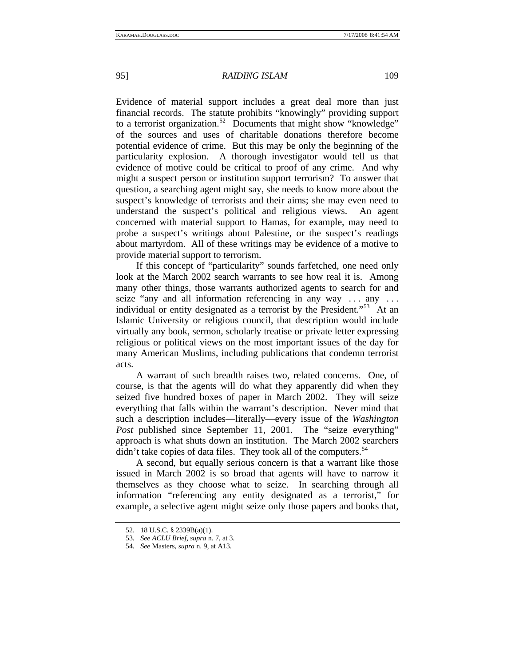Evidence of material support includes a great deal more than just financial records. The statute prohibits "knowingly" providing support to a terrorist organization.<sup>[52](#page-14-0)</sup> Documents that might show "knowledge" of the sources and uses of charitable donations therefore become potential evidence of crime. But this may be only the beginning of the particularity explosion. A thorough investigator would tell us that evidence of motive could be critical to proof of any crime. And why might a suspect person or institution support terrorism? To answer that question, a searching agent might say, she needs to know more about the suspect's knowledge of terrorists and their aims; she may even need to understand the suspect's political and religious views. An agent concerned with material support to Hamas, for example, may need to probe a suspect's writings about Palestine, or the suspect's readings about martyrdom. All of these writings may be evidence of a motive to provide material support to terrorism.

If this concept of "particularity" sounds farfetched, one need only look at the March 2002 search warrants to see how real it is. Among many other things, those warrants authorized agents to search for and seize "any and all information referencing in any way ... any ... individual or entity designated as a terrorist by the President."<sup>[53](#page-14-1)</sup> At an Islamic University or religious council, that description would include virtually any book, sermon, scholarly treatise or private letter expressing religious or political views on the most important issues of the day for many American Muslims, including publications that condemn terrorist acts.

A warrant of such breadth raises two, related concerns. One, of course, is that the agents will do what they apparently did when they seized five hundred boxes of paper in March 2002. They will seize everything that falls within the warrant's description. Never mind that such a description includes—literally—every issue of the *Washington*  Post published since September 11, 2001. The "seize everything" approach is what shuts down an institution. The March 2002 searchers  $\mu$  didn't take copies of data files. They took all of the computers.<sup>[54](#page-14-2)</sup>

A second, but equally serious concern is that a warrant like those issued in March 2002 is so broad that agents will have to narrow it themselves as they choose what to seize. In searching through all information "referencing any entity designated as a terrorist," for example, a selective agent might seize only those papers and books that,

<span id="page-14-0"></span><sup>52. 18</sup> U.S.C. § 2339B(a)(1).

<span id="page-14-1"></span><sup>53</sup>*. See ACLU Brief*, *supra* n. 7, at 3.

<span id="page-14-2"></span><sup>54</sup>*. See* Masters, *supra* n. 9, at A13.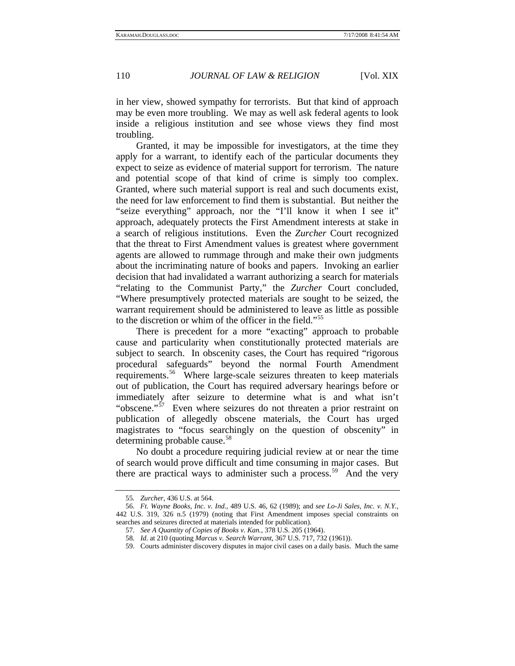in her view, showed sympathy for terrorists. But that kind of approach may be even more troubling. We may as well ask federal agents to look inside a religious institution and see whose views they find most troubling.

Granted, it may be impossible for investigators, at the time they apply for a warrant, to identify each of the particular documents they expect to seize as evidence of material support for terrorism. The nature and potential scope of that kind of crime is simply too complex. Granted, where such material support is real and such documents exist, the need for law enforcement to find them is substantial. But neither the "seize everything" approach, nor the "I'll know it when I see it" approach, adequately protects the First Amendment interests at stake in a search of religious institutions. Even the *Zurcher* Court recognized that the threat to First Amendment values is greatest where government agents are allowed to rummage through and make their own judgments about the incriminating nature of books and papers. Invoking an earlier decision that had invalidated a warrant authorizing a search for materials "relating to the Communist Party," the *Zurcher* Court concluded, "Where presumptively protected materials are sought to be seized, the warrant requirement should be administered to leave as little as possible to the discretion or whim of the officer in the field."[55](#page-15-0)

There is precedent for a more "exacting" approach to probable cause and particularity when constitutionally protected materials are subject to search. In obscenity cases, the Court has required "rigorous procedural safeguards" beyond the normal Fourth Amendment requirements.<sup>[56](#page-15-1)</sup> Where large-scale seizures threaten to keep materials out of publication, the Court has required adversary hearings before or immediately after seizure to determine what is and what isn't "obscene."<sup>[57](#page-15-2)</sup> Even where seizures do not threaten a prior restraint on publication of allegedly obscene materials, the Court has urged magistrates to "focus searchingly on the question of obscenity" in determining probable cause.<sup>[58](#page-15-3)</sup>

No doubt a procedure requiring judicial review at or near the time of search would prove difficult and time consuming in major cases. But there are practical ways to administer such a process.<sup>[59](#page-15-4)</sup> And the very

<sup>55</sup>*. Zurcher*, 436 U.S. at 564.

<span id="page-15-4"></span><span id="page-15-3"></span><span id="page-15-2"></span><span id="page-15-1"></span><span id="page-15-0"></span><sup>56.</sup> *Ft. Wayne Books, Inc. v. Ind.*, 489 U.S. 46, 62 (1989); and *see Lo-Ji Sales, Inc. v. N.Y.*, 442 U.S. 319, 326 n.5 (1979) (noting that First Amendment imposes special constraints on searches and seizures directed at materials intended for publication).

<sup>57</sup>*. See A Quantity of Copies of Books v. Kan.*, 378 U.S. 205 (1964).

<sup>58</sup>*. Id*. at 210 (quoting *Marcus v. Search Warrant*, 367 U.S. 717, 732 (1961)).

<sup>59.</sup> Courts administer discovery disputes in major civil cases on a daily basis. Much the same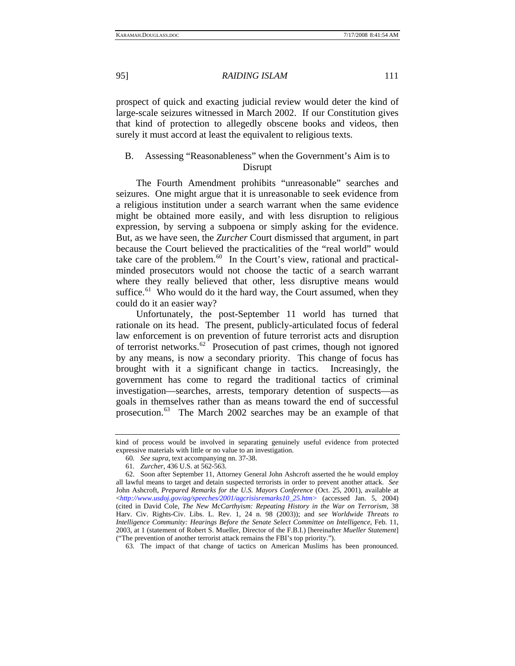prospect of quick and exacting judicial review would deter the kind of large-scale seizures witnessed in March 2002. If our Constitution gives that kind of protection to allegedly obscene books and videos, then surely it must accord at least the equivalent to religious texts.

#### B. Assessing "Reasonableness" when the Government's Aim is to Disrupt

The Fourth Amendment prohibits "unreasonable" searches and seizures. One might argue that it is unreasonable to seek evidence from a religious institution under a search warrant when the same evidence might be obtained more easily, and with less disruption to religious expression, by serving a subpoena or simply asking for the evidence. But, as we have seen, the *Zurcher* Court dismissed that argument, in part because the Court believed the practicalities of the "real world" would take care of the problem. $60$  In the Court's view, rational and practicalminded prosecutors would not choose the tactic of a search warrant where they really believed that other, less disruptive means would suffice.<sup>[61](#page-16-1)</sup> Who would do it the hard way, the Court assumed, when they could do it an easier way?

Unfortunately, the post-September 11 world has turned that rationale on its head. The present, publicly-articulated focus of federal law enforcement is on prevention of future terrorist acts and disruption of terrorist networks.[62](#page-16-2) Prosecution of past crimes, though not ignored by any means, is now a secondary priority. This change of focus has brought with it a significant change in tactics. Increasingly, the government has come to regard the traditional tactics of criminal investigation—searches, arrests, temporary detention of suspects—as goals in themselves rather than as means toward the end of successful prosecution.[63](#page-16-3) The March 2002 searches may be an example of that

<span id="page-16-3"></span>63. The impact of that change of tactics on American Muslims has been pronounced.

kind of process would be involved in separating genuinely useful evidence from protected expressive materials with little or no value to an investigation.

<sup>60</sup>*. See supra*, text accompanying nn. 37-38.

<sup>61</sup>*. Zurcher*, 436 U.S. at 562-563.

<span id="page-16-2"></span><span id="page-16-1"></span><span id="page-16-0"></span><sup>62.</sup> Soon after September 11, Attorney General John Ashcroft asserted the he would employ all lawful means to target and detain suspected terrorists in order to prevent another attack. *See* John Ashcroft, *Prepared Remarks for the U.S. Mayors Conference* (Oct. 25, 2001), available at <*http://www.usdoj.gov/ag/speeches/2001/agcrisisremarks10\_25.htm>* (accessed Jan. 5, 2004) (cited in David Cole, *The New McCarthyism: Repeating History in the War on Terrorism*, 38 Harv. Civ. Rights-Civ. Libs. L. Rev. 1, 24 n. 98 (2003)); and *see Worldwide Threats to Intelligence Community: Hearings Before the Senate Select Committee on Intelligence*, Feb. 11, 2003, at 1 (statement of Robert S. Mueller, Director of the F.B.I.) [hereinafter *Mueller Statement*] ("The prevention of another terrorist attack remains the FBI's top priority.").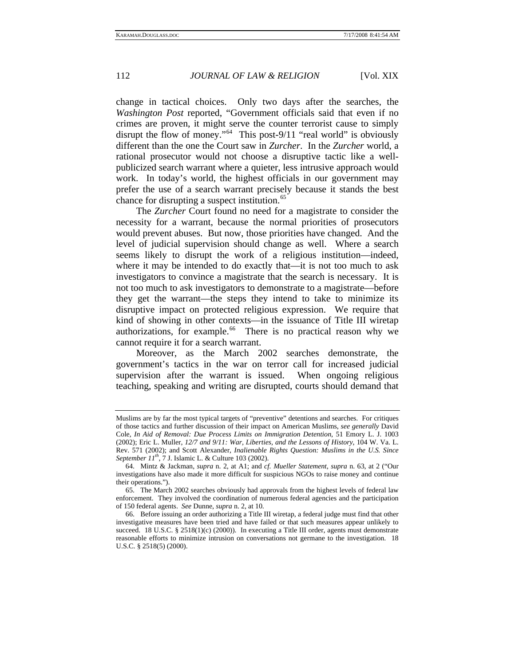change in tactical choices. Only two days after the searches, the *Washington Post* reported, "Government officials said that even if no crimes are proven, it might serve the counter terrorist cause to simply disrupt the flow of money."<sup>[64](#page-17-0)</sup> This post-9/11 "real world" is obviously different than the one the Court saw in *Zurcher*. In the *Zurcher* world, a rational prosecutor would not choose a disruptive tactic like a wellpublicized search warrant where a quieter, less intrusive approach would work. In today's world, the highest officials in our government may prefer the use of a search warrant precisely because it stands the best chance for disrupting a suspect institution.<sup>[65](#page-17-1)</sup>

The *Zurcher* Court found no need for a magistrate to consider the necessity for a warrant, because the normal priorities of prosecutors would prevent abuses. But now, those priorities have changed. And the level of judicial supervision should change as well. Where a search seems likely to disrupt the work of a religious institution—indeed, where it may be intended to do exactly that—it is not too much to ask investigators to convince a magistrate that the search is necessary. It is not too much to ask investigators to demonstrate to a magistrate—before they get the warrant—the steps they intend to take to minimize its disruptive impact on protected religious expression. We require that kind of showing in other contexts—in the issuance of Title III wiretap authorizations, for example.<sup>[66](#page-17-2)</sup> There is no practical reason why we cannot require it for a search warrant.

Moreover, as the March 2002 searches demonstrate, the government's tactics in the war on terror call for increased judicial supervision after the warrant is issued. When ongoing religious teaching, speaking and writing are disrupted, courts should demand that

Muslims are by far the most typical targets of "preventive" detentions and searches. For critiques of those tactics and further discussion of their impact on American Muslims, *see generally* David Cole, *In Aid of Removal: Due Process Limits on Immigration Detention*, 51 Emory L. J. 1003 (2002); Eric L. Muller, *12/7 and 9/11: War, Liberties, and the Lessons of History*, 104 W. Va. L. Rev. 571 (2002); and Scott Alexander, *Inalienable Rights Question: Muslims in the U.S. Since September 11<sup>th</sup>*, 7 J. Islamic L. & Culture 103 (2002).

<span id="page-17-0"></span><sup>64.</sup> Mintz & Jackman, *supra* n. 2, at A1; and *cf. Mueller Statement*, *supra* n. 63, at 2 ("Our investigations have also made it more difficult for suspicious NGOs to raise money and continue their operations.").

<span id="page-17-1"></span><sup>65.</sup> The March 2002 searches obviously had approvals from the highest levels of federal law enforcement. They involved the coordination of numerous federal agencies and the participation of 150 federal agents. *See* Dunne, *supra* n. 2, at 10.

<span id="page-17-2"></span><sup>66.</sup> Before issuing an order authorizing a Title III wiretap, a federal judge must find that other investigative measures have been tried and have failed or that such measures appear unlikely to succeed. 18 U.S.C. § 2518(1)(c) (2000)). In executing a Title III order, agents must demonstrate reasonable efforts to minimize intrusion on conversations not germane to the investigation. 18 U.S.C. § 2518(5) (2000).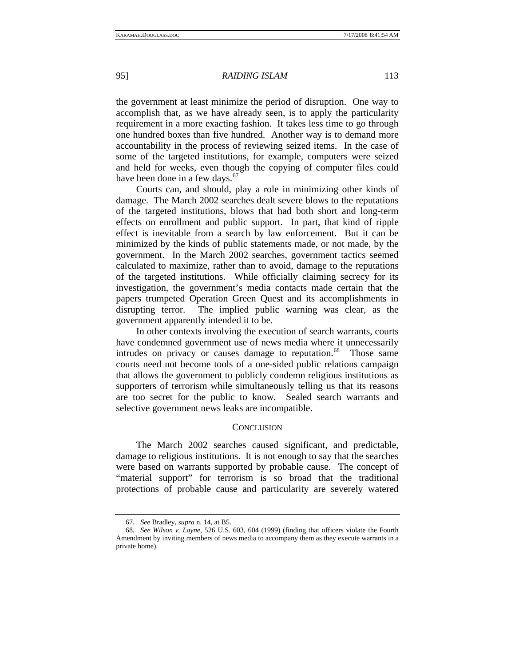the government at least minimize the period of disruption. One way to accomplish that, as we have already seen, is to apply the particularity requirement in a more exacting fashion. It takes less time to go through one hundred boxes than five hundred. Another way is to demand more accountability in the process of reviewing seized items. In the case of some of the targeted institutions, for example, computers were seized and held for weeks, even though the copying of computer files could have been done in a few days.<sup>[67](#page-18-0)</sup>

Courts can, and should, play a role in minimizing other kinds of damage. The March 2002 searches dealt severe blows to the reputations of the targeted institutions, blows that had both short and long-term effects on enrollment and public support. In part, that kind of ripple effect is inevitable from a search by law enforcement. But it can be minimized by the kinds of public statements made, or not made, by the government. In the March 2002 searches, government tactics seemed calculated to maximize, rather than to avoid, damage to the reputations of the targeted institutions. While officially claiming secrecy for its investigation, the government's media contacts made certain that the papers trumpeted Operation Green Quest and its accomplishments in disrupting terror. The implied public warning was clear, as the government apparently intended it to be.

In other contexts involving the execution of search warrants, courts have condemned government use of news media where it unnecessarily intrudes on privacy or causes damage to reputation.<sup>[68](#page-18-1)</sup> Those same courts need not become tools of a one-sided public relations campaign that allows the government to publicly condemn religious institutions as supporters of terrorism while simultaneously telling us that its reasons are too secret for the public to know. Sealed search warrants and selective government news leaks are incompatible.

#### **CONCLUSION**

The March 2002 searches caused significant, and predictable, damage to religious institutions. It is not enough to say that the searches were based on warrants supported by probable cause. The concept of "material support" for terrorism is so broad that the traditional protections of probable cause and particularity are severely watered

<sup>67</sup>*. See* Bradley, *supra* n. 14, at B5.

<span id="page-18-1"></span><span id="page-18-0"></span><sup>68</sup>*. See Wilson v. Layne*, 526 U.S. 603, 604 (1999) (finding that officers violate the Fourth Amendment by inviting members of news media to accompany them as they execute warrants in a private home).